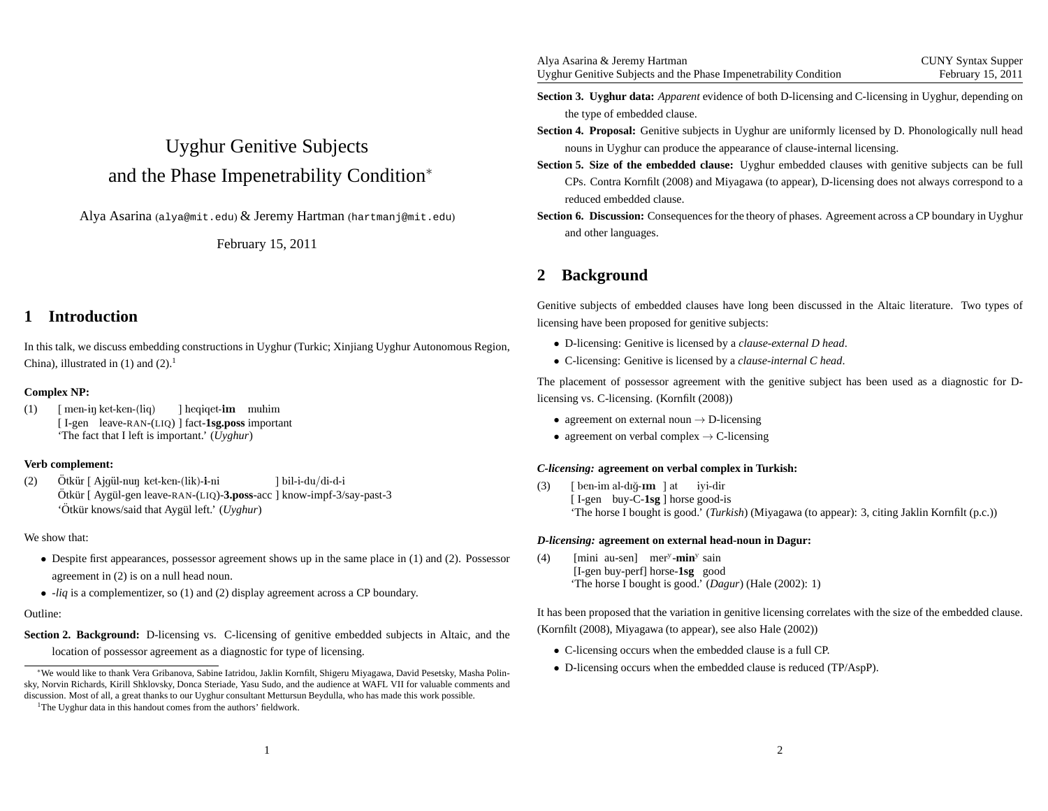# Uyghur Genitive Subjectsand the Phase Impenetrability Condition<sup>∗</sup>

 $\rm{A}$ lya  $\rm{A}$ sarina (alya@mit.edu) $\rm{\&}$  Jeremy  $\rm{Hartman}$  (hartmanj@mit.edu)

February 15, 2011

### **1 Introduction**

In this talk, we discuss embedding constructions in Uyghur (Turkic; Xinjiang Uyghur Autonomous Region, China), illustrated in  $(1)$  and  $(2)$ .<sup>1</sup>

### **Complex NP:**

(1)) [ men-iŋ ket-ken-(liq) [ I-gen leave-RAN-(LIQ) ] fact-**1sg.poss** important 'The fact that I left is important.' (*Uyghur*)] heqiqet-**im** muhim

### **Verb complement:**

(2)Ötkür [ Ajqül-nun ket-ken-(lik)-i-ni Otkür [ Ajgül-nuŋ ket-ken-(lik)-**i-**ni ] bil-i-du/di-d-i<br>Ötkür [ Aygül-gen leave-RAN-(LIQ)-**3.poss**-acc ] know-impf-3/say-past-3 'Ötkür knows/said that Aygül left.' (Uyghur)

### We show that:

- Despite first appearances, possessor agreemen<sup>t</sup> shows up in the same <sup>p</sup>lace in (1) and (2). Possessor agreemen<sup>t</sup> in (2) is on <sup>a</sup> null head noun.
- -*liq* is <sup>a</sup> complementizer, so (1) and (2) display agreemen<sup>t</sup> across <sup>a</sup> CP boundary.

### Outline:

**Section 2. Background:** D-licensing vs. C-licensing of genitive embedded subjects in Altaic, and thelocation of possessor agreemen<sup>t</sup> as <sup>a</sup> diagnostic for type of licensing.

<sup>1</sup>The Uyghur data in this handout comes from the authors' fieldwork.

| Alya Asarina & Jeremy Hartman                                    | <b>CUNY Syntax Supper</b> |
|------------------------------------------------------------------|---------------------------|
| Uyghur Genitive Subjects and the Phase Imperetrability Condition | February 15, 2011         |

- **Section 3. Uyghur data:** *Apparent* evidence of both D-licensing and C-licensing in Uyghur, depending onthe type of embedded clause.
- **Section 4. Proposal:** Genitive subjects in Uyghur are uniformly licensed by D. Phonologically null headnouns in Uyghur can produce the appearance of clause-internal licensing.
- **Section 5. Size of the embedded clause:** Uyghur embedded clauses with genitive subjects can be full CPs. Contra Kornfilt (2008) and Miyagawa (to appear), D-licensing does not always correspond to <sup>a</sup>reduced embedded clause.
- **Section 6. Discussion:** Consequences for the theory of <sup>p</sup>hases. Agreement across <sup>a</sup> CP boundary in Uyghur and other languages.

# **2 Background**

Genitive subjects of embedded clauses have long been discussed in the Altaic literature. Two types oflicensing have been proposed for genitive subjects:

- D-licensing: Genitive is licensed by <sup>a</sup> *clause-external <sup>D</sup> head*.
- C-licensing: Genitive is licensed by <sup>a</sup> *clause-internal <sup>C</sup> head*.

The placement of possessor agreemen<sup>t</sup> with the genitive subject has been used as <sup>a</sup> diagnostic for Dlicensing vs. C-licensing. (Kornfilt (2008))

- agreement on external noun  $\rightarrow$  D-licensing
- agreement on verbal complex  $\rightarrow$  C-licensing

### *C-licensing:* **agreement on verbal complex in Turkish:**

(3)) [ben-im al-dığ-**ım**]at iyi-dir [I-gen buy-C-**1sg**] horse good-is 'The horse I bought is good.' (*Turkish*) (Miyagawa (to appear): 3, citing Jaklin Kornfilt (p.c.))

### *D-licensing:* **agreement on external head-noun in Dagur:**

(4) [mini au-sen] mer<sup>y</sup>-min<sup>y</sup> sain [I-gen buy-perf] horse-**1sg** good 'The horse I bought is good.' (*Dagur*) (Hale (2002): 1)

It has been proposed that the variation in genitive licensing correlates with the size of the embedded clause. (Kornfilt (2008), Miyagawa (to appear), see also Hale (2002))

- C-licensing occurs when the embedded clause is <sup>a</sup> full CP.
- D-licensing occurs when the embedded clause is reduced (TP/AspP).

<sup>∗</sup>We would like to thank Vera Gribanova, Sabine Iatridou, Jaklin Kornfilt, Shigeru Miyagawa, David Pesetsky, Masha Polinsky, Norvin Richards, Kirill Shklovsky, Donca Steriade, Yasu Sudo, and the audience at WAFL VII for valuable comments anddiscussion. Most of all, <sup>a</sup> grea<sup>t</sup> thanks to our Uyghur consultant Mettursun Beydulla, who has made this work possible.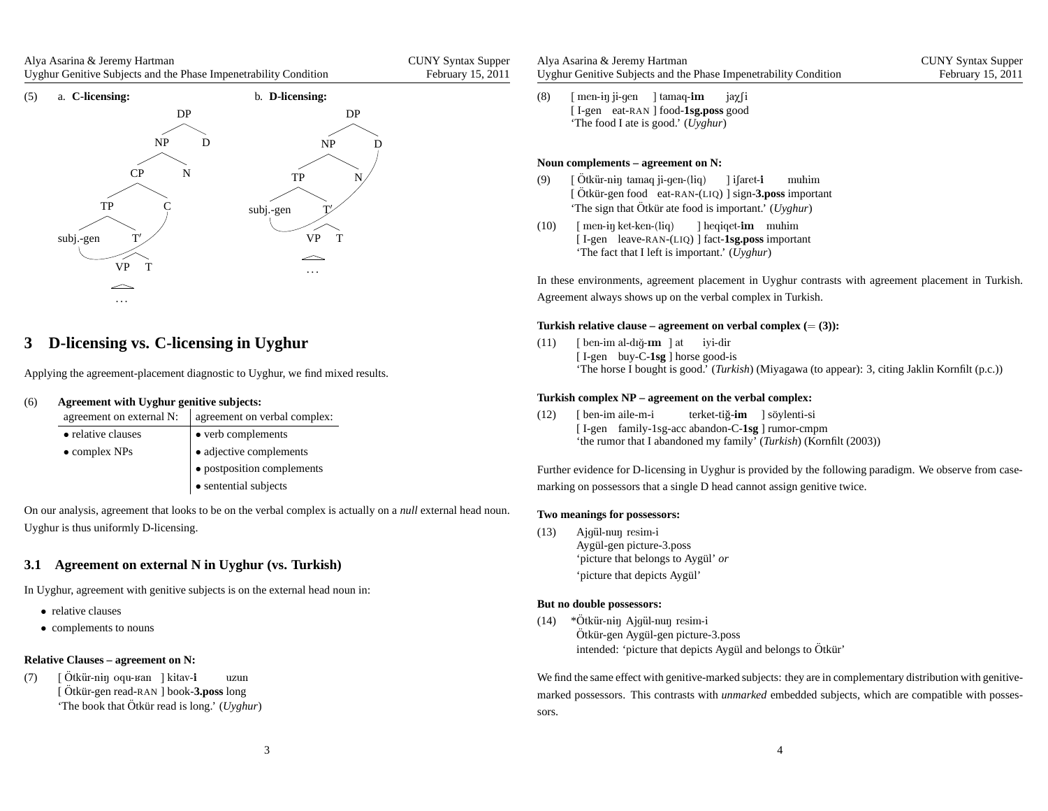| Alya Asarina & Jeremy Hartman                                    | <b>CUNY Syntax Supper</b> |
|------------------------------------------------------------------|---------------------------|
| Uyghur Genitive Subjects and the Phase Impenetrability Condition | February 15, 2011         |



# **3 D-licensing vs. C-licensing in Uyghur**

Applying the agreement-placement diagnostic to Uyghur, we find mixed results.

#### (6)**Agreement with Uyghur genitive subjects:**

| agreement on external N: | agreement on verbal complex: |
|--------------------------|------------------------------|
| • relative clauses       | • verb complements           |
| $\bullet$ complex NPs    | • adjective complements      |
|                          | · postposition complements   |
|                          | • sentential subjects        |

On our analysis, agreemen<sup>t</sup> that looks to be on the verbal complex is actually on <sup>a</sup> *null* external head noun. Uyghur is thus uniformly D-licensing.

### **3.1 Agreement on external N in Uyghur (vs. Turkish)**

In Uyghur, agreemen<sup>t</sup> with genitive subjects is on the external head noun in:

- relative clauses
- complements to nouns

### **Relative Clauses – agreement on N:**

(7)) [ Ötkür-n<del>i</del>ŋ oqu-ʁan ] kitav-**i** [Ötkür-gen read-RAN ] book-**3.poss** long 'The book that Ötkür read is long.' (Uyghur) uzun

| Alya Asarina & Jeremy Hartman                                    | <b>CUNY Syntax Supper</b> |
|------------------------------------------------------------------|---------------------------|
| Uyghur Genitive Subjects and the Phase Impenetrability Condition | February 15, 2011         |

(8)) [men-<del>i</del>ŋ ji-gen ] tamaq-**im** [I-gen eat-RAN ] food-**1sg.poss** good 'The food I ate is good.' (*Uyghur*) $i$ a $\chi$ fi

### **Noun complements – agreement on N:**

- (9)) [Ötkür-niŋ tamaq ji-gen-(liq) [Ötkür-gen food eat-RAN-(LIQ) ] sign-3.poss important 'The sign that Ötkür ate food is important.' (Uyghur) ] i∫aret-**i** muhim
- (10)) [men-<del>i</del>ŋ ket-ken-(liq) ] heqiqet**-im** muhim [ I-gen leave-RAN-(LIQ) ] fact-**1sg.poss** important'The fact that I left is important.' (*Uyghur*)

In these environments, agreemen<sup>t</sup> placement in Uyghur contrasts with agreemen<sup>t</sup> placement in Turkish. Agreement always shows up on the verbal complex in Turkish.

# **Turkish relative clause – agreement on verbal complex (**<sup>=</sup> **(3)):**

(11)) [ben-im al-dığ-**ım**]at iyi-dir [I-gen buy-C-**1sg**] horse good-is 'The horse I bought is good.' (*Turkish*) (Miyagawa (to appear): 3, citing Jaklin Kornfilt (p.c.))

### **Turkish complex NP – agreement on the verbal complex:**

 $(12)$  [ I-gen family-1sg-acc abandon-C-**1sg** ] rumor-cmpm 'the rumor that I abandoned my family' (*Turkish*) (Kornfilt (2003))ben-imaile-m-iterket-tiğ-**im** ] söylenti-si

Further evidence for D-licensing in Uyghur is provided by the following paradigm. We observe from casemarking on possessors that <sup>a</sup> single D head cannot assign genitive twice.

### **Two meanings for possessors:**

(13) Ajgül-nuŋ resim-i Aygül-gen picture-3.poss 'picture that belongs to Aygül' *or* 'picture that depicts Aygül'

### **But no double possessors:**

 $(14)$  \*Ötkür-nin Ajqül-nun resim-i Otkür-nɨŋ Ajgül-nuŋ resim-i<br>Ötkür-gen Aygül-gen picture-3.poss intended: 'picture that depicts Aygül and belongs to Ötkür'

We find the same effect with genitive-marked subjects: they are in complementary distribution with genitivemarked possessors. This contrasts with *unmarked* embedded subjects, which are compatible with possessors.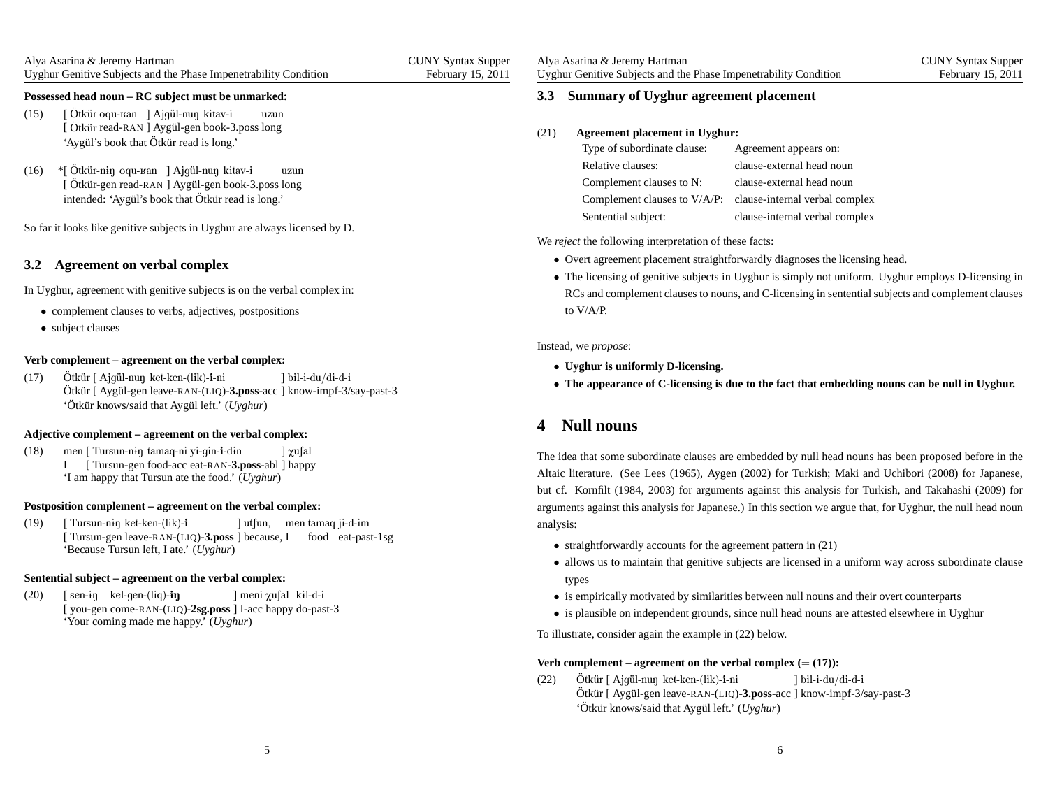| Alya Asarina & Jeremy Hartman                                    | <b>CUNY Syntax Supper</b> |
|------------------------------------------------------------------|---------------------------|
| Uyghur Genitive Subjects and the Phase Impenetrability Condition | February 15, 2011         |

### **Possessed head noun – RC subject must be unmarked:**

- (15) [ [Ötkür read-RAN ] Aygül-gen book-3.poss long 'Aygül's book that Ötkür read is long.' Ötkür oqu-ваn ] Ajgül-nuŋ kitav-i uzun
- $(16)$ [ Ötkür-gen intended: 'Aygül's book that Ötkür read is long.' Ötkür-nɨŋ oqu-ʁan ] Ajgül-nuŋ kitav-i .<br>Ötkür-gen read-RAN ] Aygül-gen book-3.poss long uzun

So far it looks like genitive subjects in Uyghur are always licensed by D.

### **3.2 Agreement on verbal complex**

In Uyghur, agreemen<sup>t</sup> with genitive subjects is on the verbal complex in:

- complement clauses to verbs, adjectives, postpositions
- subject clauses

### **Verb complement – agreement on the verbal complex:**

(17)Ötkür [ Ajqül-nun ket-ken-(lik)-i-ni Otkür [ Ajgül-nuŋ ket-ken-(lik)-**i**-ni ] bil-i-du/di-d-i<br>Ötkür [ Aygül-gen leave-RAN-(LIQ)-**3.poss**-acc ] know-impf-3/say-past-3 'Ötkür knows/said that Aygül left.' (Uyghur)

#### **Adjective complement – agreement on the verbal complex:**

- (18)) men [ Tursun-niŋ tamaq-ni yi-gin-**i**-din ] χu∫al
	- I [ Tursun-gen food-acc eat-RAN-**3.poss**-abl ] happy'I am happy that Tursun ate the food.' (*Uyghur*)

#### **Postposition complement – agreement on the verbal complex:**

(19) [ [Tursun-gen leave-RAN-(LIQ)-3.poss ] because, I food eat-past-1sg 'Because Tursun left, I ate.' (*Uyghur*)Tursun-n<del>i</del>ŋ ket-ken-(lik)-**i** ] utʃun, men tamaq ji-d-im

### **Sentential subject – agreement on the verbal complex:**

(20)) [sen-iŋ kel-gen-(liq)**-iŋ** [ you-gen come-RAN-(LIQ)-**2sg.poss** ] I-acc happy do-past-3 'Your coming made me happy.' (*Uyghur*)] meni χu∫al kɨl-d-i

(21)**Agreement <sup>p</sup>lacement in Uyghur:**

| Type of subordinate clause:  | Agreement appears on:          |
|------------------------------|--------------------------------|
| Relative clauses:            | clause-external head noun      |
| Complement clauses to N:     | clause-external head noun      |
| Complement clauses to V/A/P: | clause-internal verbal complex |
| Sentential subject:          | clause-internal verbal complex |

We *reject* the following interpretation of these facts:

- Overt agreemen<sup>t</sup> <sup>p</sup>lacement straightforwardly diagnoses the licensing head.
- The licensing of genitive subjects in Uyghur is simply not uniform. Uyghur employs D-licensing in RCs and complement clauses to nouns, and C-licensing in sentential subjects and complement clausesto V/A/P.

### Instead, we *propose*:

- **Uyghur is uniformly D-licensing.**
- $\bullet$  The appearance of C-licensing is due to the fact that embedding nouns can be null in Uyghur.

### **4 Null nouns**

The idea that some subordinate clauses are embedded by null head nouns has been proposed before in theAltaic literature. (See Lees (1965), Aygen (2002) for Turkish; Maki and Uchibori (2008) for Japanese, but cf. Kornfilt (1984, 2003) for arguments against this analysis for Turkish, and Takahashi (2009) forarguments against this analysis for Japanese.) In this section we argue that, for Uyghur, the null head nounanalysis:

- straightforwardly accounts for the agreemen<sup>t</sup> pattern in (21)
- allows us to maintain that genitive subjects are licensed in <sup>a</sup> uniform way across subordinate clause types
- is empirically motivated by similarities between null nouns and their overt counterparts
- is <sup>p</sup>lausible on independent grounds, since null head nouns are attested elsewhere in Uyghur

To illustrate, consider again the example in (22) below.

# **Verb complement – agreement on the verbal complex (**<sup>=</sup> **(17)):**

(22)) Ötkür [ Ajgül-nuŋ ket-ken-(lik)-**i**-ni Ötkür [ Aygül-gen leave-RAN-(LIQ)-3.poss-acc ] know-impf-3/say-past-3 'Ötkür knows/said that Aygül left.' (Uyghur) ]bil-i-du/di-d-i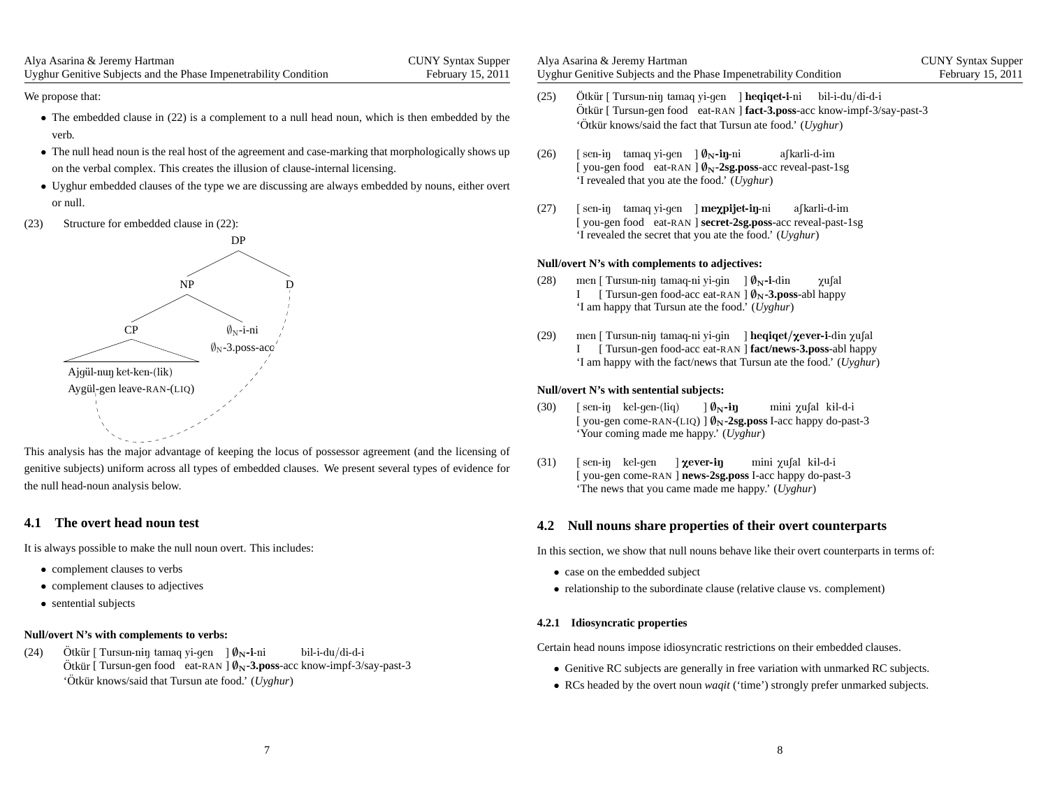| Alya Asarina & Jeremy Hartman                                    | <b>CUNY Syntax Supper</b> |
|------------------------------------------------------------------|---------------------------|
| Uyghur Genitive Subjects and the Phase Impenetrability Condition | February 15, 2011         |

We propose that:

- The embedded clause in (22) is <sup>a</sup> complement to <sup>a</sup> null head noun, which is then embedded by the verb.
- The null head noun is the real host of the agreemen<sup>t</sup> and case-marking that morphologically shows up on the verbal complex. This creates the illusion of clause-internal licensing.
- Uyghur embedded clauses of the type we are discussing are always embedded by nouns, either overt or null.
- (23) Structure for embedded clause in (22):



This analysis has the major advantage of keeping the locus of possessor agreemen<sup>t</sup> (and the licensing of genitive subjects) uniform across all types of embedded clauses. We presen<sup>t</sup> several types of evidence forthe null head-noun analysis below.

### **4.1 The overt head noun test**

It is always possible to make the null noun overt. This includes:

- complement clauses to verbs
- complement clauses to adjectives
- sentential subjects

### **Null/overt N's with complements to verbs:**

(24)Ötkür [ Tursun-niŋ tamaq yi-gen ]  $\emptyset_N$ -i-ni Ötkür [ Tursun-n<del>i</del>ŋ tamaq yi-gen ] Ø<sub>N</sub>-**i**-ni bil-i-du/di-d-i<br>Ötkür [ Tursun-gen food eat-RAN ] Ø<sub>N</sub>-**3.poss**-acc know-impf-3/say-past-3 'Ötkür knows/said that Tursun ate food.' (Uyghur)

| Alya Asarina & Jeremy Hartman                                    | <b>CUNY Syntax Supper</b> |
|------------------------------------------------------------------|---------------------------|
| Uyghur Genitive Subjects and the Phase Impenetrability Condition | February 15, 2011         |

- (25)) Ötkür [ Tursun-niŋ tamaq yi-gen ] **heqiqet-i**-ni bil-i-du/di-d-i Ötkür [ Tursun-gen food eat-RAN ] **fact-3.poss**-acc know-impf-3/say-past-3 'Ötkür knows/said the fact that Tursun ate food.' (*Uyghur*)
- (26)) [sen-iŋ tamaqyi-gen ]Ø<sub>N</sub>-**iŋ**-ni [you-gen food eat-RAN ]  $\phi_N$ -2sg.poss-acc reveal-past-1sg 'I revealed that you ate the food.' (*Uyghur*)afkarli-d-im
- (27)) [sen-iŋ tamaqyi-gen ]**meχpijet-iŋ**-ni [you-gen food eat-RAN ] secret-2sg.poss-acc reveal-past-1sg 'I revealed the secret that you ate the food.' (*Uyghur*)afkarli-d-im

### **Null/overt N's with complements to adjectives:**

- (28)) men [ Tursun-niŋ tamaq-ni yi-gin ] Ø<sub>N</sub>-i-din I [ Tursun-gen food-acc eat-RAN ]  $\varnothing_N$ -3.poss-abl happy 'I am happy that Tursun ate the food.' (*Uyghur*) $\gamma$ usal
- (29)) men [ Tursun-n<del>i</del>ŋ tamaq-ni yi-gin ] **heqiqet/χever-i**-d<del>i</del>n χu∫al I [ Tursun-gen food-acc eat-RAN ] **fact/news-3.poss**-abl happy'I am happy with the fact/news that Tursun ate the food.' (*Uyghur*)

### **Null/overt N's with sentential subjects:**

- (30)) [sen-iŋ kel-gen-(liq) [you-gen come-RAN-(LIQ) ]  $\phi_N$ -2sg.poss I-acc happy do-past-3 'Your coming made me happy.' (*Uyghur*) $]$   $\emptyset_{\rm N}$ -iŋ mini χu∫al kɨl-d-i
- (31)) [sen-iŋ kel-gen ]**χever-iŋ** [ you-gen come-RAN ] **news-2sg.poss** I-acc happy do-past-3 'The news that you came made me happy.' (*Uyghur*)mini χu∫al kɨl-d-i

### **4.2 Null nouns share properties of their overt counterparts**

In this section, we show that null nouns behave like their overt counterparts in terms of:

- case on the embedded subject
- relationship to the subordinate clause (relative clause vs. complement)

### **4.2.1 Idiosyncratic properties**

Certain head nouns impose idiosyncratic restrictions on their embedded clauses.

- Genitive RC subjects are generally in free variation with unmarked RC subjects.
- RCs headed by the overt noun *waqit* ('time') strongly prefer unmarked subjects.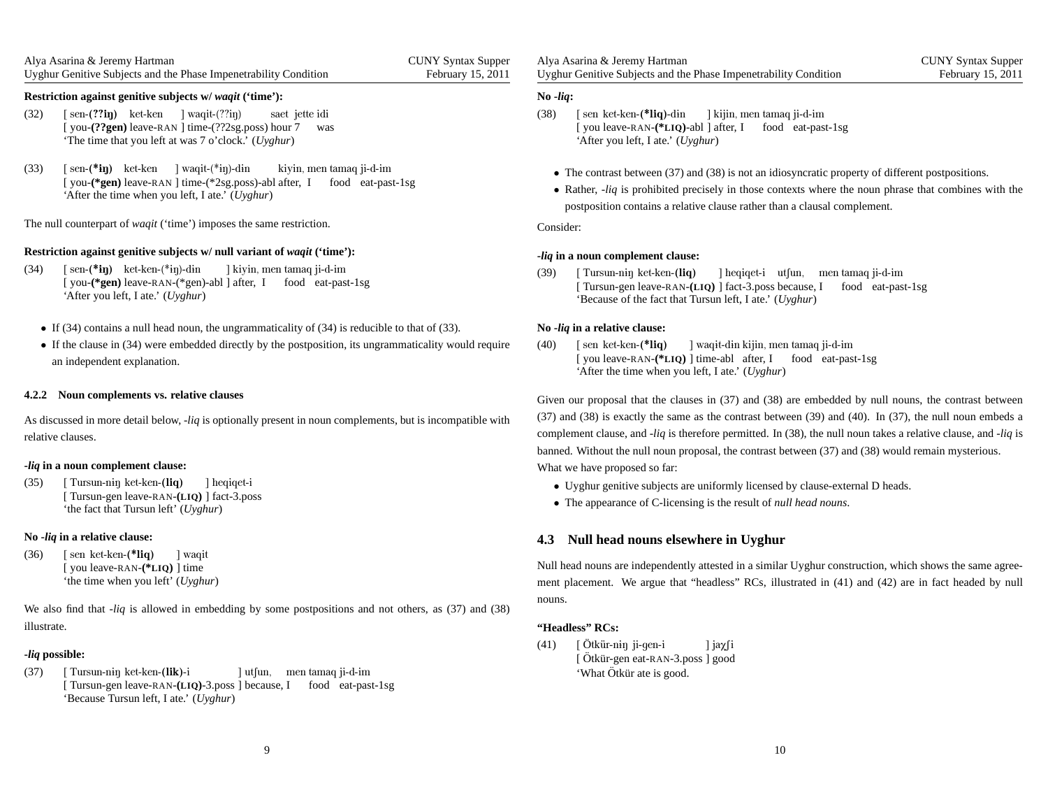| Alya Asarina & Jeremy Hartman                                    | <b>CUNY Syntax Supper</b> |
|------------------------------------------------------------------|---------------------------|
| Uyghur Genitive Subjects and the Phase Imperetrability Condition | February 15, 2011         |

### **Restriction against genitive subjects w/** *waqit* **('time'):**

- (32)) [sen-(??**iŋ**) ket-ken ] waqit-(??iŋ) [you-(??gen) leave-RAN ] time-(??2sg.poss) hour 7 'The time that you left at was 7 <sup>o</sup>'clock.' (*Uyghur*)saet jette idi was
- (33) [ [you-(\***gen**) leave-RAN ] time-(\*2sg.poss)-abl after, I food eat-past-1sg 'After the time when you left, I ate.' (*Uyghur*)sen-(\***iŋ**) ket-ken ] waqit-(\*iŋ)-din kiyin, men tamaq ji-d-im

The null counterpart of *waqit* ('time') imposes the same restriction.

### **Restriction against genitive subjects w/ null variant of** *waqit* **('time'):**

- (34)) [sen-(\***iŋ)** ket-ken-(\*iŋ)-din [you-(\*gen) leave-RAN-(\*gen)-abl ] after, I food eat-past-1sg 'After you left, I ate.' (*Uyghur*)] kiyin, men tamaq ji-d-im
	- If (34) contains <sup>a</sup> null head noun, the ungrammaticality of (34) is reducible to that of (33).
	- If the clause in (34) were embedded directly by the postposition, its ungrammaticality would require an independent explanation.

#### **4.2.2 Noun complements vs. relative clauses**

As discussed in more detail below, -*liq* is optionally presen<sup>t</sup> in noun complements, but is incompatible with relative clauses.

### **-***liq* **in <sup>a</sup> noun complement clause:**

(35) [ [ Tursun-gen leave-RAN-**(LIQ)** ] fact-3.poss 'the fact that Tursun left' (*Uyghur*)Tursun-nɨŋ ket-ken-(**liq**) ]heqiqet-i

### **No -***liq* **in <sup>a</sup> relative clause:**

(36)) [sen ket-ken-(\*liq) [ you leave-RAN-**(\*LIQ)** ] time 'the time when you left' (*Uyghur*)]waqit

We also find that -*liq* is allowed in embedding by some postpositions and not others, as (37) and (38) illustrate.

### **-***liq* **possible:**

(37)) [ Tursun-nɨŋ ket-ken-(**lik)**-i [ Tursun-gen leave-RAN-**(LIQ)**-3.poss ] because, I food eat-past-1sg 'Because Tursun left, I ate.' (*Uyghur*)] utʃun, men tamaq ji-d-im

Alya Asarina & Jeremy Hartman Uyghur Genitive Subjects and the Phase Impenetrability ConditionCUNY Syntax SupperFebruary 15, 2011

#### **No -***liq***:**

- (38)) [sen ket-ken-(\*liq)-din [ you leave-RAN-**(\*LIQ)**-abl ] after, I food eat-past-1sg 'After you left, I ate.' (*Uyghur*)] kijin, men tamaq ji-d-im
	- The contrast between (37) and (38) is not an idiosyncratic property of different postpositions.
	- Rather, -*liq* is prohibited precisely in those contexts where the noun <sup>p</sup>hrase that combines with the postposition contains <sup>a</sup> relative clause rather than <sup>a</sup> clausal complement.

Consider:

### **-***liq* **in <sup>a</sup> noun complement clause:**

(39) [ [ Tursun-gen leave-RAN-**(LIQ)** ] fact-3.poss because, I food eat-past-1sg 'Because of the fact that Tursun left, I ate.' (*Uyghur*)Tursun-nɨŋ ket-ken-(**liq**) ] heqiqet-i utfun, men tamaq ji-d-im

### **No -***liq* **in <sup>a</sup> relative clause:**

 $(40)$ ) [sen ket-ken-(\*liq) [you leave-RAN-(\*LIQ) ] time-abl after, I food eat-past-1sg 'After the time when you left, I ate.' (*Uyghur*)] waqit-din kijin, men tamaq ji-d-im

Given our proposal that the clauses in (37) and (38) are embedded by null nouns, the contrast between (37) and (38) is exactly the same as the contrast between (39) and (40). In (37), the null noun embeds <sup>a</sup>complement clause, and -*liq* is therefore permitted. In (38), the null noun takes <sup>a</sup> relative clause, and -*liq* is banned. Without the null noun proposal, the contrast between (37) and (38) would remain mysterious. What we have proposed so far:

- Uyghur genitive subjects are uniformly licensed by clause-external <sup>D</sup> heads.
- The appearance of C-licensing is the result of *null head nouns*.

### **4.3 Null head nouns elsewhere in Uyghur**

Null head nouns are independently attested in <sup>a</sup> similar Uyghur construction, which shows the same agreement placement. We argue that "headless" RCs, illustrated in (41) and (42) are in fact headed by nullnouns.

### **"Headless" RCs:**

(41)) [Ötkür-n<del>i</del>ŋ [ Otkür-n<del>i</del>ŋ ji-gen-i ] jaχ∫i<br>[ Ötkür-gen eat-RAN-3.poss ] good 'What Ötkür ate is good.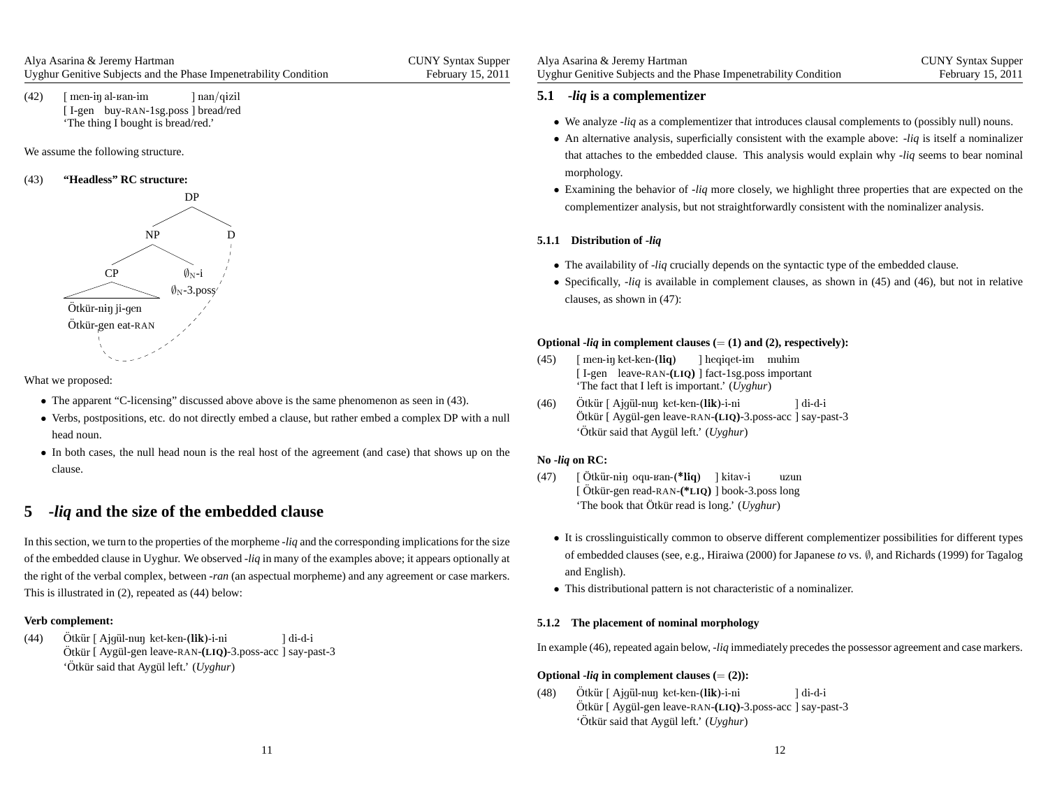(42)) [men-iŋ al-ʁan-im [I-gen buy-RAN-1sg.poss] bread/red 'The thing I bought is bread/red.'] nan/qɨzil

We assume the following structure.

#### (43)**"Headless" RC structure:**



What we proposed:

- The apparen<sup>t</sup> "C-licensing" discussed above above is the same <sup>p</sup>henomenon as seen in (43).
- Verbs, postpositions, etc. do not directly embed <sup>a</sup> clause, but rather embed <sup>a</sup> complex DP with <sup>a</sup> null head noun.
- In both cases, the null head noun is the real host of the agreemen<sup>t</sup> (and case) that shows up on the clause.

# **5 -***liq* **and the size of the embedded clause**

In this section, we turn to the properties of the morpheme -*liq* and the corresponding implications for the size of the embedded clause in Uyghur. We observed -*liq* in many of the examples above; it appears optionally at the right of the verbal complex, between -*ran* (an aspectual morpheme) and any agreemen<sup>t</sup> or case markers. This is illustrated in (2), repeated as (44) below:

### **Verb complement:**

(44)Ötkür [ Ajqül-nun ket-ken-(lik)-i-ni Otkür [ Ajgül-nuŋ ket-ken-(**lik)**-i-ni ] di-d-i<br>Ötkür [ Aygül-gen leave-RAN-<mark>(LIQ</mark>)-3.poss-acc ] say-past-3 'Ötkür said that Aygül left.' (Uyghur)

| Alya Asarina & Jeremy Hartman                                    | <b>CUNY Syntax Supper</b> |
|------------------------------------------------------------------|---------------------------|
| Uyghur Genitive Subjects and the Phase Impenetrability Condition | February 15, 2011         |

# **5.1 -***liq* **is <sup>a</sup> complementizer**

- We analyze -*liq* as <sup>a</sup> complementizer that introduces clausal complements to (possibly null) nouns.
- An alternative analysis, superficially consistent with the example above: -*liq* is itself <sup>a</sup> nominalizer that attaches to the embedded clause. This analysis would explain why -*liq* seems to bear nominal morphology.
- Examining the behavior of -*liq* more closely, we highlight three properties that are expected on the complementizer analysis, but not straightforwardly consistent with the nominalizer analysis.

### **5.1.1 Distribution of -***liq*

- The availability of -*liq* crucially depends on the syntactic type of the embedded clause.
- Specifically, -*liq* is available in complement clauses, as shown in (45) and (46), but not in relative clauses, as shown in (47):

# **Optional -***liq* **in complement clauses (**<sup>=</sup> **(1) and (2), respectively):**

- (45)) [ men-iŋ ket-ken-(**liq**) [ I-gen leave-RAN-**(LIQ)** ] fact-1sg.poss important 'The fact that I left is important.' (*Uyghur*)] heqiqet-im muhim
- (46)Ötkür [ Ajqül-nun ket-ken-(lik)-i-ni Otkür [ Ajgül-nuŋ ket-ken-(**lik)**-i-ni ] di-d-i<br>Ötkür [ Aygül-gen leave-RAN-<mark>(LIQ</mark>)-3.poss-acc ] say-past-3 'Ötkür said that Aygül left.' (*Uyghur*)

## **No -***liq* **on RC:**

- (47)) [Ötkür-n<del>i</del>ŋ [ Otkür-n<del>i</del>ŋ oqu-ваn-(**\*liq**) ] kitav-i uzun<br>[ Ötkür-gen read-RAN-(<mark>\*LIQ</mark>) ] book-3.poss long 'The book that Ötkür read is long.' (Uyghur)
	- It is crosslinguistically common to observe different complementizer possibilities for different types of embedded clauses (see, e.g., Hiraiwa (2000) for Japanese *to* vs. <sup>∅</sup>, and Richards (1999) for Tagalog and English).
	- This distributional pattern is not characteristic of <sup>a</sup> nominalizer.

### **5.1.2 The placement of nominal morphology**

In example (46), repeated again below, -*liq* immediately precedes the possessor agreemen<sup>t</sup> and case markers.

# **Optional**  $-Iiq$  **in complement clauses**  $(=(2))$ **:**

(48)) Ötkür [ Ajgül-nuŋ ket-ken-(**lik)**-i-ni Ötkür [ Aygül-gen leave-RAN-(LIQ)-3.poss-acc ] say-past-3 'Ötkür said that Aygül left.' (Uyghur) ]di-d-i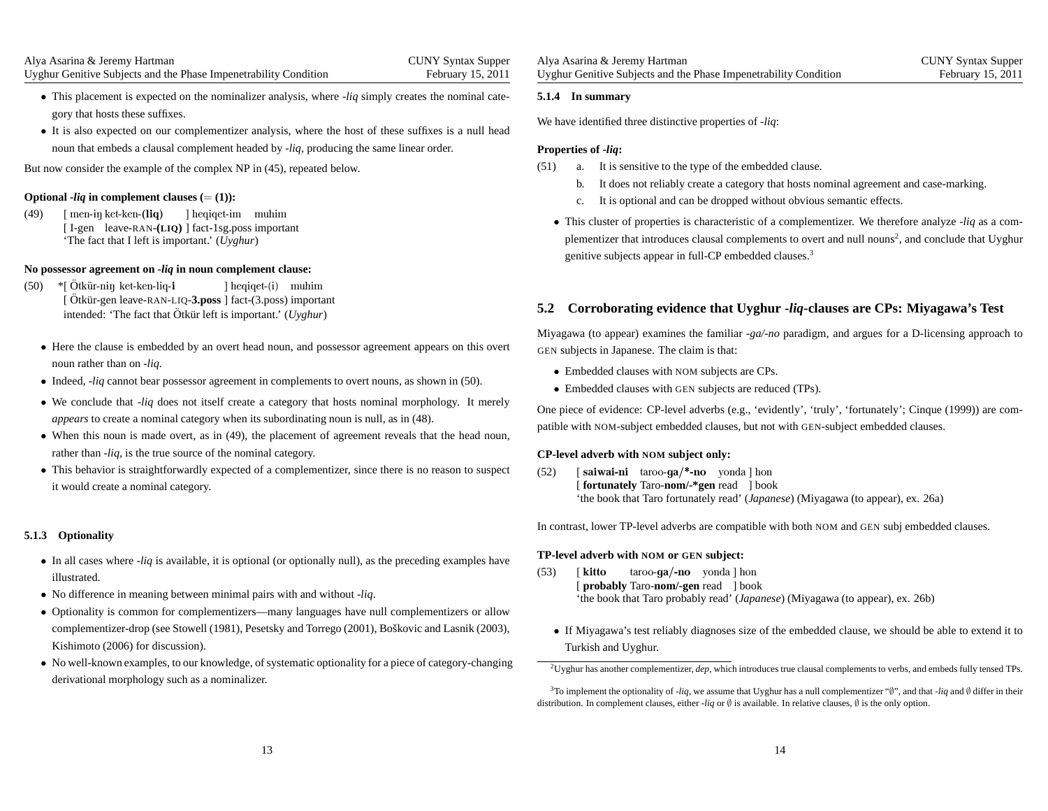- This <sup>p</sup>lacement is expected on the nominalizer analysis, where -*liq* simply creates the nominal category that hosts these suffixes.
- It is also expected on our complementizer analysis, where the host of these suffixes is <sup>a</sup> null head noun that embeds <sup>a</sup> clausal complement headed by -*liq*, producing the same linear order.

But now consider the example of the complex NP in (45), repeated below.

# **Optional -***liq* **in complement clauses (**<sup>=</sup> **(1)):**

(49)) [men-iŋ ket-ken-(l**iq)** ] heqiqet-immuhim [ I-gen leave-RAN-**(LIQ)** ] fact-1sg.poss important'The fact that I left is important.' (*Uyghur*)

### **No possessor agreement on -***liq* **in noun complement clause:**

- (50) \*[Ötkür-n<del>i</del>ŋ ket-ken-liq-**i** [ Ötkür-gen intended: 'The fact that  $\ddot{\text{O}}$ tkür left is important.' ( $U$  leave-RAN-LIQ-**3.poss** ] fact-(3.poss) important] heqiqet-(i) muhim *Uyghur*)
	- Here the clause is embedded by an overt head noun, and possessor agreemen<sup>t</sup> appears on this overt noun rather than on -*liq*.
	- Indeed, -*liq* cannot bear possessor agreemen<sup>t</sup> in complements to overt nouns, as shown in (50).
	- We conclude that -*liq* does not itself create <sup>a</sup> category that hosts nominal morphology. It merely *appears* to create <sup>a</sup> nominal category when its subordinating noun is null, as in (48).
	- When this noun is made overt, as in (49), the <sup>p</sup>lacement of agreemen<sup>t</sup> reveals that the head noun, rather than -*liq*, is the true source of the nominal category.
	- This behavior is straightforwardly expected of <sup>a</sup> complementizer, since there is no reason to suspec<sup>t</sup> it would create <sup>a</sup> nominal category.

### **5.1.3 Optionality**

- In all cases where -*liq* is available, it is optional (or optionally null), as the preceding examples have illustrated.
- No difference in meaning between minimal pairs with and without -*liq*.
- Optionality is common for complementizers—many languages have null complementizers or allowcomplementizer-drop (see Stowell (1981), Pesetsky and Torrego (2001), Boškovic and Lasnik (2003), Kishimoto (2006) for discussion).
- No well-known examples, to our knowledge, of systematic optionality for <sup>a</sup> <sup>p</sup>iece of category-changing derivational morphology such as <sup>a</sup> nominalizer.

### **5.1.4 In summary**

We have identified three distinctive properties of -*liq*:

### **Properties of -***liq***:**

- (51) a. It is sensitive to the type of the embedded clause.
	- b. It does not reliably create <sup>a</sup> category that hosts nominal agreemen<sup>t</sup> and case-marking.
	- c. It is optional and can be dropped without obvious semantic effects.
	- This cluster of properties is characteristic of <sup>a</sup> complementizer. We therefore analyze -*liq* as <sup>a</sup> complementizer that introduces clausal complements to overt and null nouns<sup>2</sup>, and conclude that Uyghur genitive subjects appear in full-CP embedded clauses.<sup>3</sup>

### **5.2 Corroborating evidence that Uyghur -***liq***-clauses are CPs: Miyagawa's Test**

Miyagawa (to appear) examines the familiar *-ga/-no* paradigm, and argues for <sup>a</sup> D-licensing approac<sup>h</sup> to GEN subjects in Japanese. The claim is that:

- Embedded clauses with NOM subjects are CPs.
- Embedded clauses with GEN subjects are reduced (TPs).

One piece of evidence: CP-level adverbs (e.g., 'evidently', 'truly', 'fortunately'; Cinque (1999)) are compatible with NOM-subject embedded clauses, but not with GEN-subject embedded clauses.

# **CP-level adverb with NOM subject only:**

(52)) [ **saiwai-ni** taroo-**ga/\*-no** yonda ] hon [ **fortunately** Taro-**nom/-\*gen** read ] book'the book that Taro fortunately read' (*Japanese*) (Miyagawa (to appear), ex. 26a)

In contrast, lower TP-level adverbs are compatible with both NOM and GEN subj embedded clauses.

# **TP-level adverb with NOM or GEN subject:**

- (53) [ kitto[ **probably** Taro-**nom/-gen** read ] book 'the book that Taro probably read' (*Japanese*) (Miyagawa (to appear), ex. 26b)taroo-**ga/-no** yonda ] hon
	- If Miyagawa's test reliably diagnoses size of the embedded clause, we should be able to extend it to Turkish and Uyghur.

<sup>2</sup>Uyghur has another complementizer, *dep*, which introduces true clausal complements to verbs, and embeds fully tensed TPs.

<sup>3</sup>To implement the optionality of -*liq*, we assume that Uyghur has <sup>a</sup> null complementizer "∅", and that -*liq* and <sup>∅</sup> differ in their distribution. In complement clauses, either -*liq* or  $\emptyset$  is available. In relative clauses,  $\emptyset$  is the only option.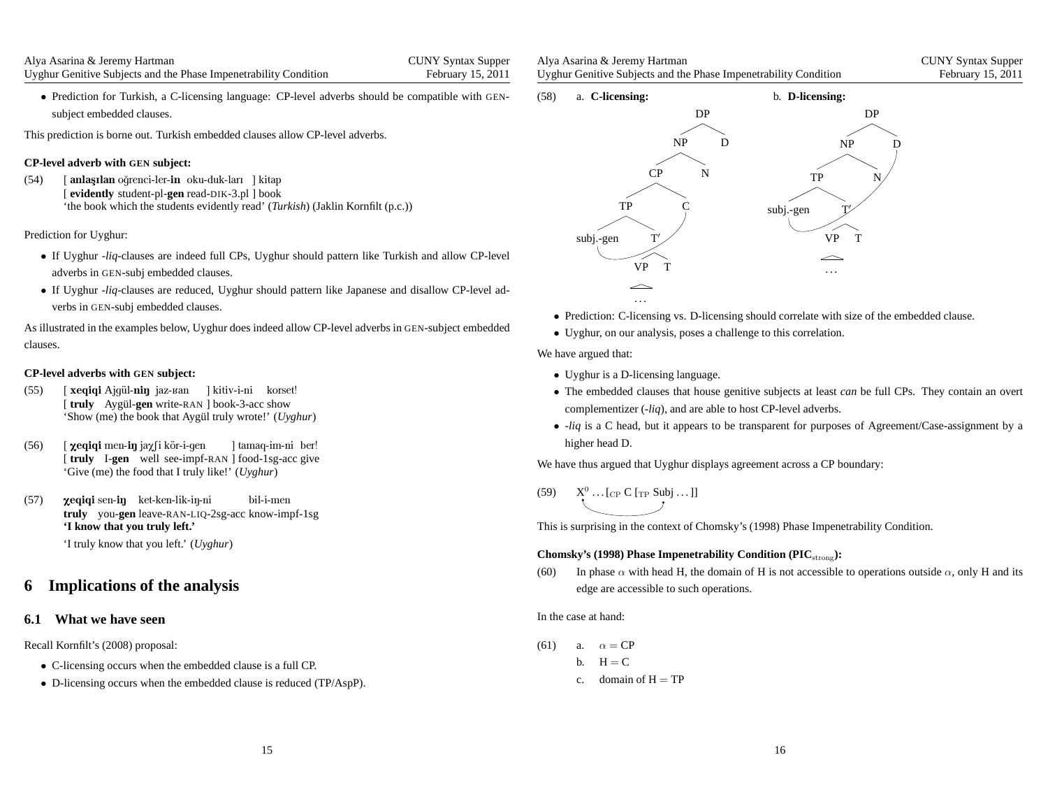• Prediction for Turkish, <sup>a</sup> C-licensing language: CP-level adverbs should be compatible with GEN subject embedded clauses.

This prediction is borne out. Turkish embedded clauses allow CP-level adverbs.

## **CP-level adverb with GEN subject:**

(54) [ [**evidently** student-pl-**gen** read-DIK-3.pl ] book 'the book which the students evidently read' (*Turkish*) (Jaklin Kornfilt (p.c.))**anlaşılan** oğrenci-ler-**in** oku-duk-ları ] kitap

### Prediction for Uyghur:

- If Uyghur -*liq*-clauses are indeed full CPs, Uyghur should pattern like Turkish and allow CP-level adverbs in GEN-subj embedded clauses.
- If Uyghur -*liq*-clauses are reduced, Uyghur should pattern like Japanese and disallow CP-level adverbs in GEN-subj embedded clauses.

As illustrated in the examples below, Uyghur does indeed allow CP-level adverbs in GEN-subject embedded clauses.

### **CP-level adverbs with GEN subject:**

- (55) [ [truly Aygül-gen write-RAN ] book-3-acc show 'Show (me) the book that Aygül truly wrote!' (*Uyghur*) **xeqiqi** Ajgül-**niŋ** jaz-ʁan ] kitiv-i-ni korset!
- (56) [ [truly I-gen well see-impf-RAN ] food-1sg-acc give 'Give (me) the food that I truly like!' (*Uyghur*)**χeqiqi** men-**iŋ** jaχ∫i kör-i-gen ] tamaq-im-ni ber!
- (57)) **yeqiqi** sen-**iŋ** ket-ken-lik-iŋ-ni **truly** you-**gen** leave-RAN-LIQ-2sg-acc know-impf-1sg **'I know that you truly left.'**bil-i-men

'I truly know that you left.' (*Uyghur*)

# **6 Implications of the analysis**

### **6.1 What we have seen**

Recall Kornfilt's (2008) proposal:

- C-licensing occurs when the embedded clause is <sup>a</sup> full CP.
- D-licensing occurs when the embedded clause is reduced (TP/AspP).

| Alya Asarina & Jeremy Hartman                                    | <b>CUNY Syntax Supper</b> |
|------------------------------------------------------------------|---------------------------|
| Uyghur Genitive Subjects and the Phase Impenetrability Condition | February 15, 2011         |



- Prediction: C-licensing vs. D-licensing should correlate with size of the embedded clause.
- Uyghur, on our analysis, poses <sup>a</sup> challenge to this correlation.

We have argued that:

- Uyghur is <sup>a</sup> D-licensing language.
- The embedded clauses that house genitive subjects at least *can* be full CPs. They contain an overt complementizer (-*liq*), and are able to host CP-level adverbs.
- -*liq* is <sup>a</sup> <sup>C</sup> head, but it appears to be transparent for purposes of Agreement/Case-assignment by <sup>a</sup> higher head D.

We have thus argued that Uyghur displays agreemen<sup>t</sup> across <sup>a</sup> CP boundary:

(59)  $X^0 \dots [C_P C [T_P Subj \dots]]$ 

This is surprising in the context of Chomsky's (1998) Phase Impenetrability Condition.

### **Chomsky's (1998) Phase Impenetrability Condition (PIC**strong**):**

(60) In phase  $\alpha$  with head H, the domain of H is not accessible to operations outside  $\alpha$ , only H and its edge are accessible to such operations.

In the case at hand:

- $(61)$  a.  $\alpha = \text{CP}$ b.  $H = C$ 
	- c. domain of  $H = TP$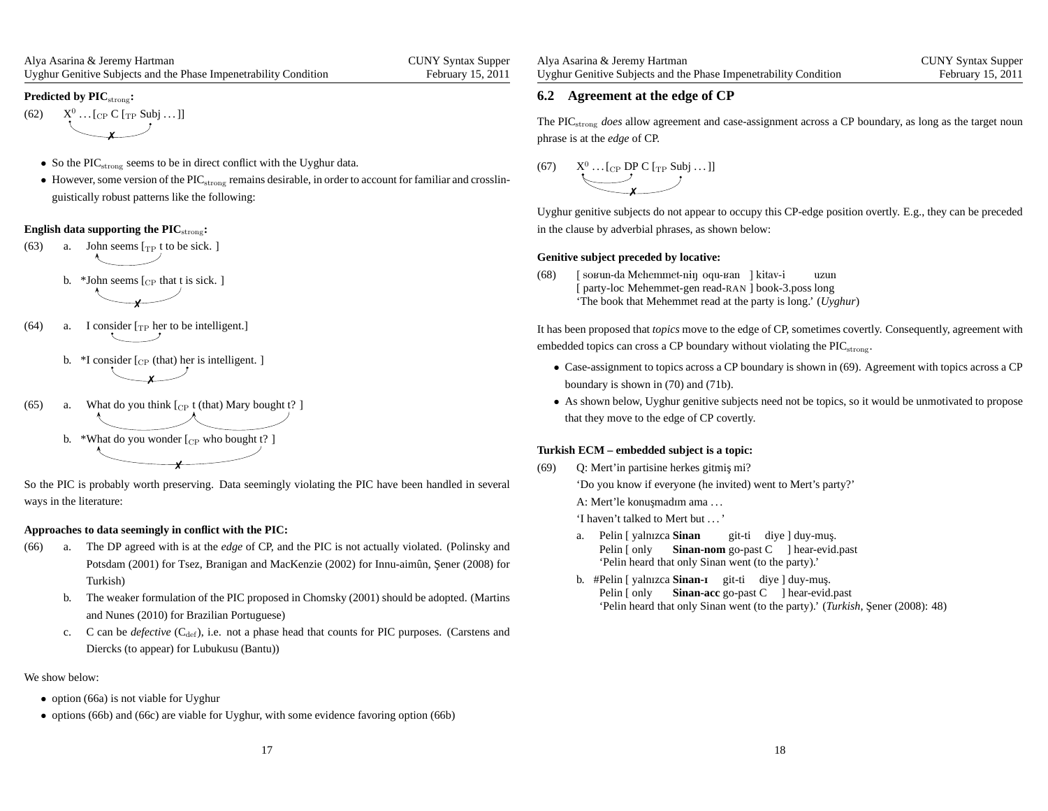#### **Predicted by PIC**strong**:**

- (62)  $X^0 \dots [C_P \ C \ [T_P \ Subj \dots ]]$ ✗
	- So the  $\text{PIC}_{\text{strong}}$  seems to be in direct conflict with the Uyghur data.
	- However, some version of the  $\rm{PIC}_{\rm strong}$  remains desirable, in order to account for familiar and crosslinguistically robust patterns like the following:

### **English data supporting the PIC**strong**:**

(63) a. John seems  $[\text{TP } t]$  to be sick. ]

b. \*John seems  $\lbrack_{\text{CP}}$  that t is sick. ] ✗

- (64) a. I consider  $[\text{TP} \text{ her to be intelligent.}]$ 
	- b.  $*$ I consider [<sub>CP</sub> (that) her is intelligent. ] ✗
- (65) a. What do you think  $\lbrack_{\text{CP}} t$  (that) Mary bought  $t$ ? ] b. \*What do you wonder  $[{\rm CP\ who\ bought\ t?}]$

✗

So the PIC is probably worth preserving. Data seemingly violating the PIC have been handled in severalways in the literature:

#### **Approaches to data seemingly in conflict with the PIC:**

- (66) a. The DP agreed with is at the *edge* of CP, and the PIC is not actually violated. (Polinsky andPotsdam (2001) for Tsez, Branigan and MacKenzie (2002) for Innu-aimûn, Şener (2008) for Turkish)
	- b. The weaker formulation of the PIC proposed in Chomsky (2001) should be adopted. (Martinsand Nunes (2010) for Brazilian Portuguese)
	- c. C can be *defective* (C<sub>def</sub>), i.e. not a phase head that counts for PIC purposes. (Carstens and Diercks (to appear) for Lubukusu (Bantu))

We show below:

- option (66a) is not viable for Uyghur
- options (66b) and (66c) are viable for Uyghur, with some evidence favoring option (66b)

| Alya Asarina & Jeremy Hartman                                    | <b>CUNY Syntax Supper</b> |
|------------------------------------------------------------------|---------------------------|
| Uyghur Genitive Subjects and the Phase Impenetrability Condition | February 15, 2011         |

### **6.2 Agreement at the edge of CP**

The PICstrong *does* allow agreemen<sup>t</sup> and case-assignment across <sup>a</sup> CP boundary, as long as the target noun phrase is at the *edge* of CP.

(67) 
$$
X^0 \dots [C_P \text{ DP} C [\text{TP} \text{ Subj} \dots]]
$$

Uyghur genitive subjects do not appear to occupy this CP-edge position overtly. E.g., they can be precededin the clause by adverbial phrases, as shown below:

#### **Genitive subject preceded by locative:**

(68)) [ soʁun-da Mehemmet-nɨŋ oqu-ʁan ] kitav-i [ party-loc Mehemmet-gen read-RAN ] book-3.poss long 'The book that Mehemmet read at the party is long.' (*Uyghur*)uzun

It has been proposed that *topics* move to the edge of CP, sometimes covertly. Consequently, agreemen<sup>t</sup> withembedded topics can cross a CP boundary without violating the  $\text{PIC}_{\text{strong}}$ .

- Case-assignment to topics across <sup>a</sup> CP boundary is shown in (69). Agreement with topics across <sup>a</sup> CPboundary is shown in (70) and (71b).
- As shown below, Uyghur genitive subjects need not be topics, so it would be unmotivated to propose that they move to the edge of CP covertly.

#### **Turkish ECM – embedded subject is <sup>a</sup> topic:**

- (69) Q: Mert'in partisine herkes gitmis¸ mi?
	- 'Do you know if everyone (he invited) went to Mert's party?'

A: Mert'le konuşmadım ama ...

'I haven't talked to Mert but . . . '

- a. Pelin[yalnIzca**Sinan** Pelin [only 'Pelin heard that only Sinan went (to the party).'Sinan-nom go-past C ] hear-evid.past git-ti diye ] duy-muş.
- b. #Pelin [ yalnızca **Sinan-ı** git-ti diye ] duy-muş. Pelin [ only **Sinan-acc** go-past C ] hear-evid.past 'Pelin heard that only Sinan went (to the party).' (*Turkish*, Şener (2008): 48)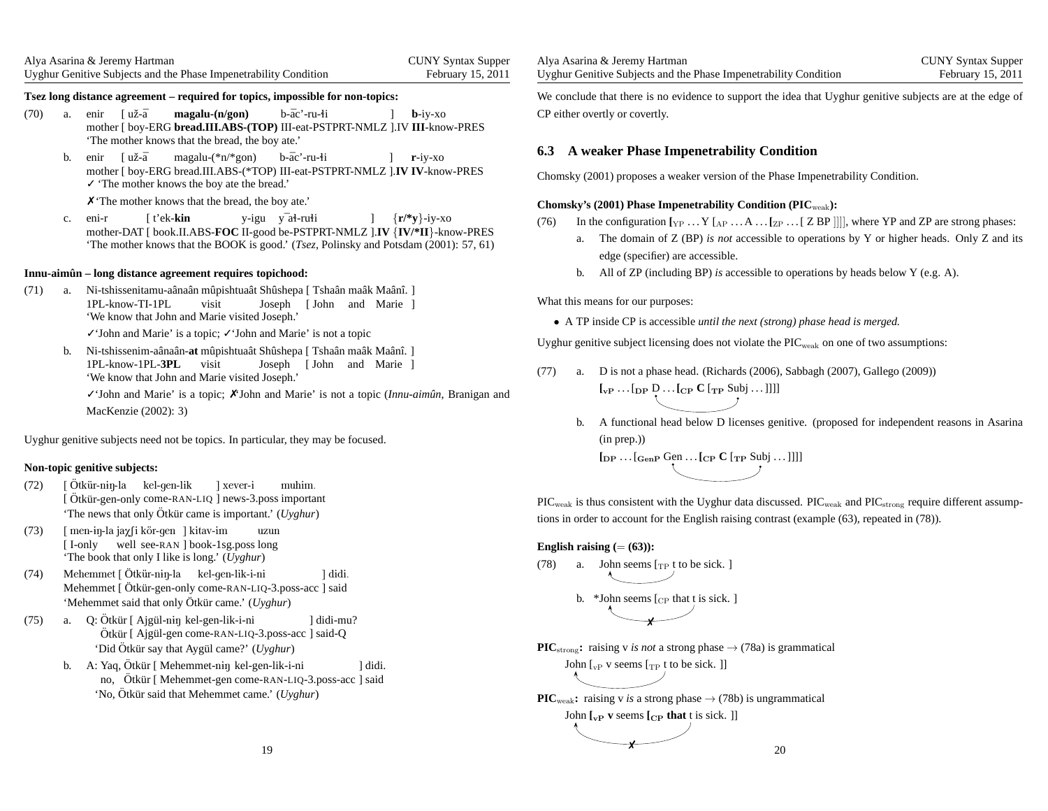| Alya Asarina & Jeremy Hartman                                    | <b>CUNY Syntax Supper</b> |
|------------------------------------------------------------------|---------------------------|
| Uyghur Genitive Subjects and the Phase Impenetrability Condition | February 15, 2011         |

#### Tsez long distance agreement - required for topics, impossible for non-topics:

- (70) a. enir [už-ā mother [ boy-ERG **bread.III.ABS-(TOP)** III-eat-PSTPRT-NMLZ ].IV **III**-know-PRES 'The mother knows that the bread, the boy ate.'**magalu-(n/gon)**b-āc'-ru-li **b**-iy-xo
	- b. enir mother [ boy-ERG bread.III.ABS-(\*TOP) III-eat-PSTPRT-NMLZ ].**IV IV**-know-PRES ✓ 'The mother knows the boy ate the bread.' [uˇz-¯amagalu-(\*n/\*gon)b-āc'-ru-łi **r**-iy-xo

✗ 'The mother knows that the bread, the boy ate.'

c. eni-r mother-DAT [ book.II.ABS-**FOC** II-good be-PSTPRT-NMLZ ].**IV** {**IV/\*II**}-know-PRES 'The mother knows that the BOOK is good.' (*Tsez*, Polinsky and Potsdam (2001): 57, 61)[t'ek-**kin**y-igu y<sup>–</sup>ał-rułi {**r/\*y**}-iy-xo

### **Innu-aimun – long distance agreement requires topichood: <sup>ˆ</sup>**

(71) a. Ni-tshissenitamu-aânaân mûpishtuaât Shûshepa [ Tshaân maâk Maânî. ] 1PL-know-TI-1PL 'We know that John and Marie visited Joseph.'visitJoseph[John and Marie ]

✓'John and Marie' is <sup>a</sup> topic; ✓'John and Marie' is not <sup>a</sup> topic

b. Ni-tshissenim-aânaân-**at** mûpishtuaât Shûshepa [ Tshaân maâk Maânî. ] visit1PL-know-1PL-**3PL** 'We know that John and Marie visited Joseph.'Joseph [John and Marie ]

✓'John and Marie' is <sup>a</sup> topic; ✗'John and Marie' is not <sup>a</sup> topic (*Innu-aimunˆ* , Branigan andMacKenzie (2002): 3)

Uyghur genitive subjects need not be topics. In particular, they may be focused.

### **Non-topic genitive subjects:**

- (72) [ [ Otkür-niŋ-la kel-gen-lik ] xever-i muhim.<br>[ Ötkür-gen-only come-RAN-LIQ ] news-3.poss important 'The news that only Ötkür came is important.' (Uyghur) Ötkür-n<del>i</del>ŋ-la
- (73)) [ men-ɨŋ-la jaχ∫i kör-gen ] kitav-im [ I-only 'The book that only I like is long.' (*Uyghur*) well see-RAN ] book-1sg.poss longuzun
- (74) Mehemmet [Ötkür-niŋ-la Mehemmet [ Otkür-niŋ-la kel-gen-lik-i-ni ] didi.<br>Mehemmet [ Ötkür-gen-only come-RAN-LIQ-3.poss-acc ] said 'Mehemmet said that only Ötkür came.' (*Uyghur*)
- (75) a. Q: Ötkür<br>Ötkür Otkür [ Ajgül-niŋ kel-gen-lik-i-ni ] didi-mu?<br>Ötkür [ Ajgül-gen come-RAN-LIQ-3.poss-acc ] said-<mark>Q</mark> 'Did Ötkür say that Aygül came?' (*Uyghur*)
	- b. A: Yaq, Ötkür<br>no. Ötkür Yaq, Otkür [ Mehemmet-niŋ kel-gen-lik-i-ni \_\_\_\_\_\_\_\_\_\_\_] didi.<br>no, Ötkür [ Mehemmet-gen come-RAN-LIQ-3.poss-acc ] said 'No, Ötkür said that Mehemmet came.' (*Uyghur*)

| Alya Asarina & Jeremy Hartman                                    | <b>CUNY Syntax Supper</b> |
|------------------------------------------------------------------|---------------------------|
| Uyghur Genitive Subjects and the Phase Impenetrability Condition | February 15, 2011         |

We conclude that there is no evidence to suppor<sup>t</sup> the idea that Uyghur genitive subjects are at the edge ofCP either overtly or covertly.

### **6.3 A weaker Phase Impenetrability Condition**

Chomsky (2001) proposes <sup>a</sup> weaker version of the Phase Impenetrability Condition.

### **Chomsky's (2001) Phase Impenetrability Condition (PIC**weak**):**

(76) In the configuration  $[\text{YP} \dots Y \text{A} \dots \text{ZP} \dots Y \text{B} \text{P}]]]$ , where YP and ZP are strong phases:

- a. The domain of Z (BP) *is not* accessible to operations by <sup>Y</sup> or higher heads. Only <sup>Z</sup> and itsedge (specifier) are accessible.
- b. All of ZP (including BP) *is* accessible to operations by heads below <sup>Y</sup> (e.g. A).

What this means for our purposes:

• <sup>A</sup> TP inside CP is accessible *until the next (strong) <sup>p</sup>hase head is merged.*

Uyghur genitive subject licensing does not violate the  $\text{PIC}_{\text{weak}}$  on one of two assumptions:

- (77) a. D is not <sup>a</sup> phase head. (Richards (2006), Sabbagh (2007), Gallego (2009)) $\left[\begin{smallmatrix}I_{\mathrm{vP}}\dots I_{\mathrm{DP}}\mathsf{D}\dots I_{\mathrm{CP}}\mathsf{C}\end{smallmatrix}\right.\left[\begin{smallmatrix}I_{\mathrm{TP}}\ \mathsf{S}\mathsf{u}\mathsf{b}\mathsf{j}\dots\end{smallmatrix}\right]\right]$ 
	- b. A functional head below D licenses genitive. (proposed for independent reasons in Asarina(in prep.))

 $\left[\text{DP} \cdots \left[\text{GenP} \right. \text{GenP} \cdots \left[\text{CP} \right. \text{C} \left[ \text{TP} \right. \text{Subj} \cdots \right]] \right]$ 

 $\rm{PIC_{weak}}$  is thus consistent with the Uyghur data discussed.  $\rm{PIC_{weak}}$  and  $\rm{PIC_{strong}}$  require different assumptions in order to account for the English raising contrast (example (63), repeated in (78)).

### **English raising**  $(=(63))$ **:**

(78) a. John seems 
$$
[\text{TP } t]
$$
 to be sick.

- b. \*John seems  $\lbrack_{\text{CP}}$  that t is sick. ] ✗
- **PIC**<sub>strong</sub>: raising v *is not* a strong phase  $\rightarrow$  (78a) is grammatical John  $\left[\begin{smallmatrix} 1 & 0 \\ 0 & 1 \end{smallmatrix}\right]$  v seems  $\left[\begin{smallmatrix} 1 & 0 \\ 1 & 1 \end{smallmatrix}\right]$  to be sick.

**PIC**<sub>weak</sub>: raising v *is* a strong phase  $\rightarrow$  (78b) is ungrammatical John  $\begin{bmatrix} \n\mathbf{v}_P \mathbf{v} \end{bmatrix}$  **v** seems  $\begin{bmatrix} \n\mathbf{c}_P \mathbf{v} \end{bmatrix}$  that  $\begin{bmatrix} \n\mathbf{v} \end{bmatrix}$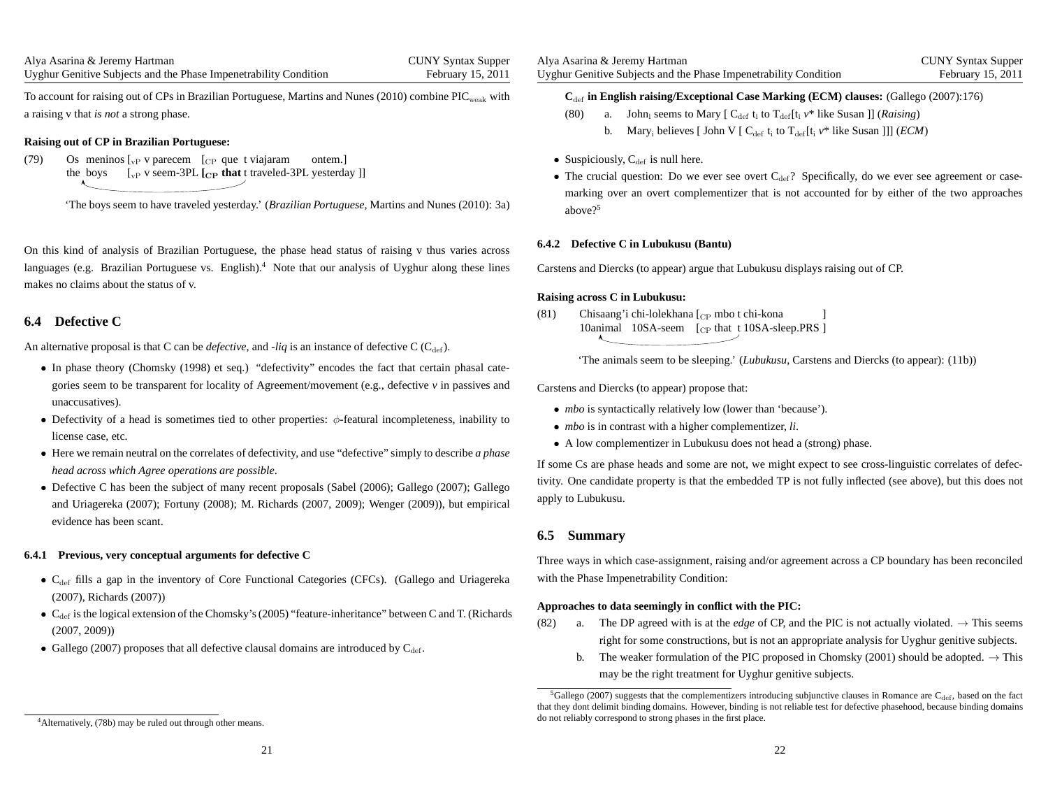CUNY Syntax SupperFebruary 15, 2011

To account for raising out of CPs in Brazilian Portuguese, Martins and Nunes (2010) combine  $\rm{PIC}_{\rm{weak}}$  with <sup>a</sup> raising <sup>v</sup> that *is not* <sup>a</sup> strong phase.

#### **Raising out of CP in Brazilian Portuguese:**

 $(79)$ the boys  $\begin{bmatrix} \n\sqrt{p} & \sqrt{p} \\ \n\sqrt{p} & \sqrt{p} \n\end{bmatrix}$  [CP **that** t traveled-3PL yesterday ]] meninos  $\mathcal{L}_{VP}$  v parecem  $\mathcal{L}_{CP}$  que t viajaram ontem.]

'The boys seem to have traveled yesterday.' (*Brazilian Portuguese*, Martins and Nunes (2010): 3a)

On this kind of analysis of Brazilian Portuguese, the phase head status of raising <sup>v</sup> thus varies acrosslanguages (e.g. Brazilian Portuguese vs. English).<sup>4</sup> Note that our analysis of Uyghur along these lines makes no claims about the status of v.

### **6.4 Defective C**

An alternative proposal is that C can be *defective*, and -*liq* is an instance of defective C (C<sub>def</sub>).

- In <sup>p</sup>hase theory (Chomsky (1998) et seq.) "defectivity" encodes the fact that certain <sup>p</sup>hasal categories seem to be transparent for locality of Agreement/movement (e.g., defective *<sup>v</sup>* in passives andunaccusatives).
- Defectivity of a head is sometimes tied to other properties:  $\phi$ -featural incompleteness, inability to license case, etc.
- Here we remain neutral on the correlates of defectivity, and use "defective" simply to describe *<sup>a</sup> <sup>p</sup>hase head across which Agree operations are possible*.
- Defective <sup>C</sup> has been the subject of many recent proposals (Sabel (2006); Gallego (2007); Gallego and Uriagereka (2007); Fortuny (2008); M. Richards (2007, 2009); Wenger (2009)), but empiricalevidence has been scant.

#### **6.4.1 Previous, very conceptual arguments for defective C**

- $C_{\text{def}}$  fills a gap in the inventory of Core Functional Categories (CFCs). (Gallego and Uriagereka (2007), Richards (2007))
- $C_{\text{def}}$  is the logical extension of the Chomsky's (2005) "feature-inheritance" between C and T. (Richards (2007, 2009))
- Gallego (2007) proposes that all defective clausal domains are introduced by  $C_{\text{def}}$ .

### **C**def **in English raising/Exceptional Case Marking (ECM) clauses:** (Gallego (2007):176)

- (80) a. John<sub>i</sub> seems to Mary  $[C_{\text{def}} t_i \text{ to } T_{\text{def}}[t_i v^* \text{ like Susan }]]$  (*Raising*)
	- b. Mary<sub>i</sub> believes [ John V [  $C_{\text{def}}$  t<sub>i</sub> to  $T_{\text{def}}$  [t<sub>i</sub>  $v^*$  like Susan ]]] (*ECM*)
- Suspiciously,  $C_{def}$  is null here.
- The crucial question: Do we ever see overt  $C_{\text{def}}$ ? Specifically, do we ever see agreement or casemarking over an overt complementizer that is not accounted for by either of the two approachesabove?<sup>5</sup>

#### **6.4.2 Defective C in Lubukusu (Bantu)**

Carstens and Diercks (to appear) argue that Lubukusu displays raising out of CP.

#### **Raising across C in Lubukusu:**

(81) Chisaang'i chi-lolekhana [<sub>CP</sub> mbo t chi-kona 10animal 10SA-seem [C<sub>P</sub> that t 10SA-sleep.PRS] ]

'The animals seem to be sleeping.' (*Lubukusu*, Carstens and Diercks (to appear): (11b))

Carstens and Diercks (to appear) propose that:

- *mbo* is syntactically relatively low (lower than 'because').
- *mbo* is in contrast with <sup>a</sup> higher complementizer, *li*.
- <sup>A</sup> low complementizer in Lubukusu does not head <sup>a</sup> (strong) <sup>p</sup>hase.

If some Cs are phase heads and some are not, we might expec<sup>t</sup> to see cross-linguistic correlates of defectivity. One candidate property is that the embedded TP is not fully inflected (see above), but this does not apply to Lubukusu.

### **6.5 Summary**

Three ways in which case-assignment, raising and/or agreemen<sup>t</sup> across <sup>a</sup> CP boundary has been reconciledwith the Phase Impenetrability Condition:

#### **Approaches to data seemingly in conflict with the PIC:**

- (82) a. The DP agreed with is at the *edge* of CP, and the PIC is not actually violated.  $\rightarrow$  This seems right for some constructions, but is not an appropriate analysis for Uyghur genitive subjects.
	- b. The weaker formulation of the PIC proposed in Chomsky (2001) should be adopted.  $\rightarrow$  This may be the right treatment for Uyghur genitive subjects.

 ${}^5$ Gallego (2007) suggests that the complementizers introducing subjunctive clauses in Romance are C<sub>def</sub>, based on the fact that they dont delimit binding domains. However, binding is not reliable test for defective <sup>p</sup>hasehood, because binding domains do not reliably correspond to strong phases in the first place.

<sup>4</sup>Alternatively, (78b) may be ruled out through other means.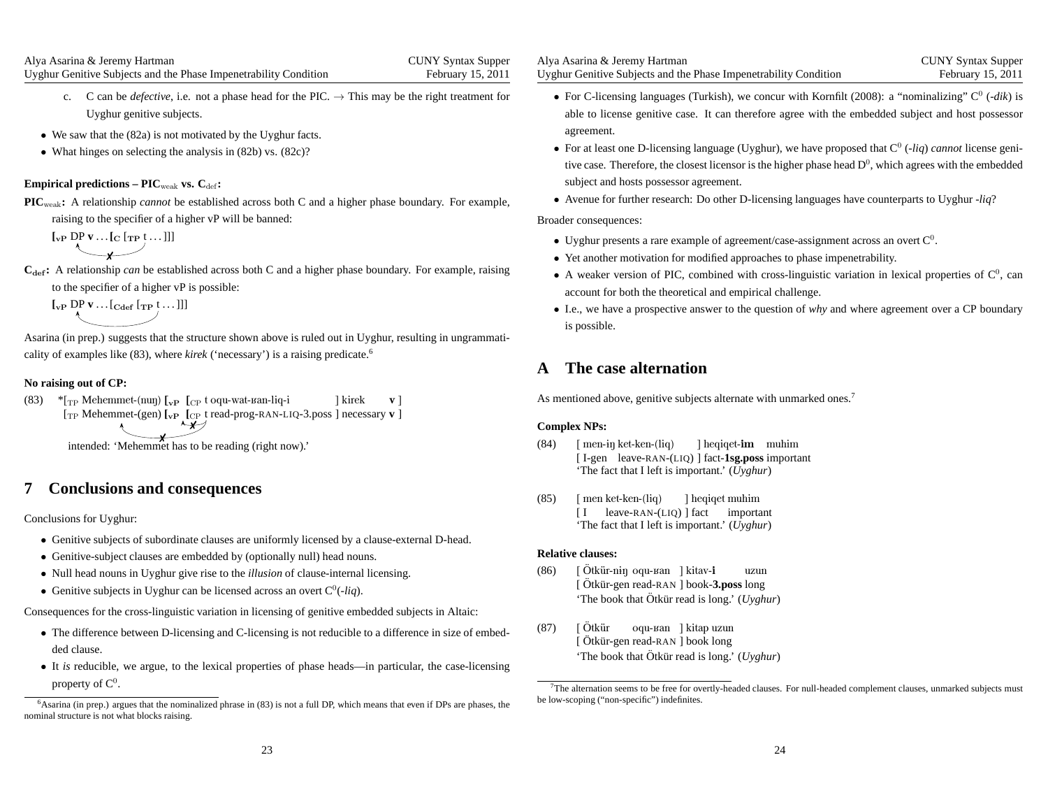- c. C can be *defective*, i.e. not a phase head for the PIC.  $\rightarrow$  This may be the right treatment for Uyghur genitive subjects.
- We saw that the (82a) is not motivated by the Uyghur facts.
- What hinges on selecting the analysis in (82b) vs. (82c)?

### $\boldsymbol{\mathrm{Empirical\, predictions}} - \boldsymbol{\mathrm{PIC}_{weak}}$  vs.  $\boldsymbol{\mathrm{C}_{\mathrm{def}}}:$

**PIC**weak**:** <sup>A</sup> relationship *cannot* be established across both <sup>C</sup> and <sup>a</sup> higher <sup>p</sup>hase boundary. For example, raising to the specifier of <sup>a</sup> higher vP will be banned:

$$
\big[\begin{matrix} \n\mathbf{L}_{\mathbf{P}} \mathbf{D} \mathbf{P} \mathbf{v} \dots \mathbf{L} \mathbf{L} \mathbf{L} \mathbf{P} \mathbf{t} \dots ] \mathbf{I} \end{matrix}\big]
$$

**C**def**:** <sup>A</sup> relationship *can* be established across both <sup>C</sup> and <sup>a</sup> higher <sup>p</sup>hase boundary. For example, raising to the specifier of <sup>a</sup> higher vP is possible:

 $\left[\begin{smallmatrix} \mathbf{v}_{\mathbf{P}} & \mathbf{D}\mathbf{P} & \mathbf{v} & \dots & \mathbf{C}_{\mathbf{d}\mathbf{e}\mathbf{f}} & \mathbf{f}_{\mathbf{TP}} & \mathbf{f}_{\mathbf{P}} & \dots & \mathbf{f}_{\mathbf{P}} \end{smallmatrix}\right]$ 

Asarina (in prep.) suggests that the structure shown above is ruled out in Uyghur, resulting in ungrammaticality of examples like (83), where *kirek* ('necessary') is <sup>a</sup> raising predicate.<sup>6</sup>

### **No raising out of CP:**

(83) \* $\rm [TP\;Mehemmet\text{-}(nu)]$   $\rm [_{vP}\;$   $\rm [_{CP}\;$ t oqu-wat- $\rm{tan\text{-}liq\text{-}i}$ [<sub>TP</sub> Mehemmet-(gen) [<sub>vP</sub> [<sub>CP</sub> t read-prog-RAN-LIQ-3.poss] necessary v] ]kirekv]✗

intended: 'Mehemmet has to be reading (right now).'

# **7 Conclusions and consequences**

Conclusions for Uyghur:

- Genitive subjects of subordinate clauses are uniformly licensed by <sup>a</sup> clause-external D-head.
- Genitive-subject clauses are embedded by (optionally null) head nouns.
- Null head nouns in Uyghur <sup>g</sup>ive rise to the *illusion* of clause-internal licensing.
- Genitive subjects in Uyghur can be licensed across an overt  $C^0(-liq)$ .

Consequences for the cross-linguistic variation in licensing of genitive embedded subjects in Altaic:

- The difference between D-licensing and C-licensing is not reducible to <sup>a</sup> difference in size of embedded clause.
- It *is* reducible, we argue, to the lexical properties of <sup>p</sup>hase heads—in particular, the case-licensing property of  $C^0$ .

| Alya Asarina & Jeremy Hartman                                    |  |
|------------------------------------------------------------------|--|
| Uyghur Genitive Subjects and the Phase Impenetrability Condition |  |

- For C-licensing languages (Turkish), we concur with Kornfilt (2008): a "nominalizing"  $C^0$  (-dik) is able to license genitive case. It can therefore agree with the embedded subject and host possessoragreement.
- For at least one D-licensing language (Uyghur), we have proposed that  $C^0$  (-*liq*) *cannot* license genitive case. Therefore, the closest licensor is the higher phase head  $D^0$ , which agrees with the embedded subject and hosts possessor agreement.
- Avenue for further research: Do other D-licensing languages have counterparts to Uyghur -*liq*?

### Broader consequences:

- Uyghur presents a rare example of agreement/case-assignment across an overt  $C^0$ .
- Yet another motivation for modified approaches to <sup>p</sup>hase impenetrability.
- A weaker version of PIC, combined with cross-linguistic variation in lexical properties of  $C^0$ , can account for both the theoretical and empirical challenge.
- I.e., we have <sup>a</sup> prospective answer to the question of *why* and where agreemen<sup>t</sup> over <sup>a</sup> CP boundary is possible.

# **A The case alternation**

As mentioned above, genitive subjects alternate with unmarked ones.<sup>7</sup>

### **Complex NPs:**

- (84)) [ men-<del>i</del>ŋ ket-ken-(liq) [ I-gen leave-RAN-(LIQ) ] fact-**1sg.poss** important 'The fact that I left is important.' (*Uyghur*)] heqiqet-**im** muhim
- (85) [ menket-ken-(liq)[I 'The fact that I left is important.' (*Uyghur*) leave-RAN-(LIQ) ] fact important] heqiqet muhim

#### **Relative clauses:**

- (86)) [Ötkür-n<del>i</del>ŋ [ Otkür-n<del>i</del>ŋ oqu-ʁan ] kitav-**i** uzun<br>[ Ötkür-gen read-RAN ] book-**3.poss** long 'The book that Ötkür read is long.' (Uyghur)
- (87)) [Ötkür [ Otk¨ur-gen ¨ oqu-Kan read-RAN ]] kitap book uzun long 'The book that Ötkür read is long.' (*Uyghur*)

 $6$ Asarina (in prep.) argues that the nominalized phrase in  $(83)$  is not a full DP, which means that even if DPs are phases, the nominal structure is not what blocks raising.

<sup>7</sup>The alternation seems to be free for overtly-headed clauses. For null-headed complement clauses, unmarked subjects mustbe low-scoping ("non-specific") indefinites.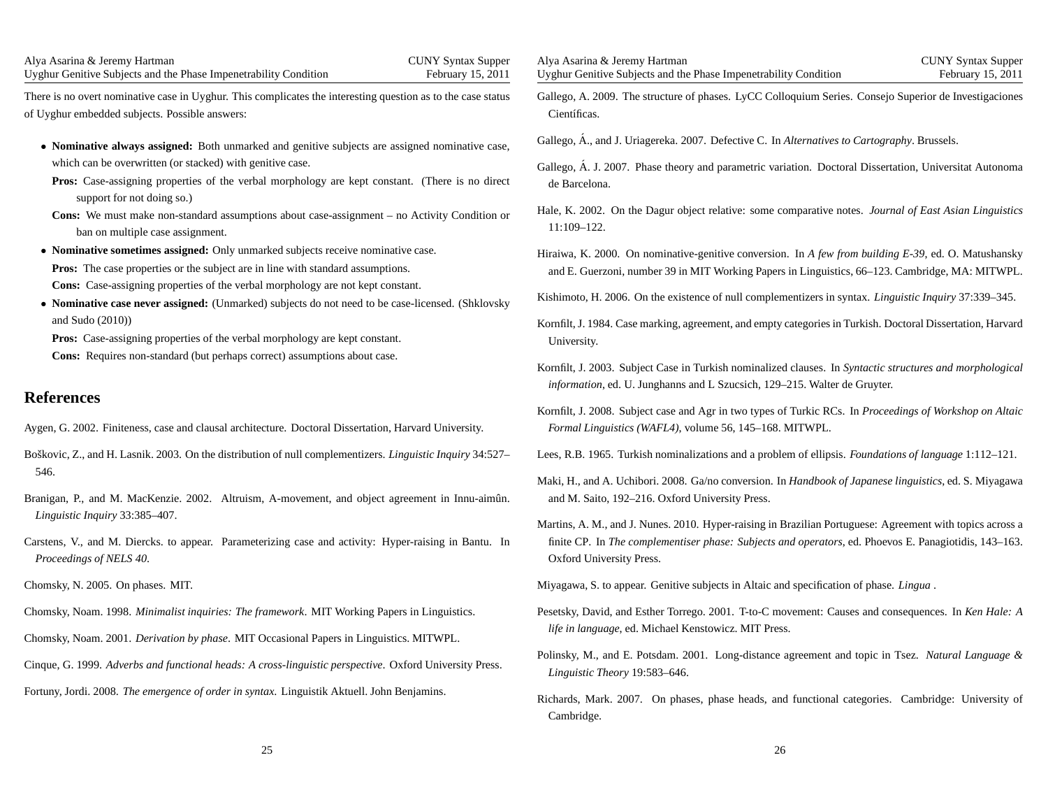| Alya Asarina & Jeremy Hartman                                                                                                                                                                                                                                                                                                                                                                                                                                                                                                                                                                                                                                                                                                                                                                                                                                                                                                                                                                          | Alya Asarina & Jeremy Hartman                                                                                                                                                                                                                                                                                                                                                                                                                                                                                                                                                                                                                                                                                                                                                                                                                                                                                                                                                                      |
|--------------------------------------------------------------------------------------------------------------------------------------------------------------------------------------------------------------------------------------------------------------------------------------------------------------------------------------------------------------------------------------------------------------------------------------------------------------------------------------------------------------------------------------------------------------------------------------------------------------------------------------------------------------------------------------------------------------------------------------------------------------------------------------------------------------------------------------------------------------------------------------------------------------------------------------------------------------------------------------------------------|----------------------------------------------------------------------------------------------------------------------------------------------------------------------------------------------------------------------------------------------------------------------------------------------------------------------------------------------------------------------------------------------------------------------------------------------------------------------------------------------------------------------------------------------------------------------------------------------------------------------------------------------------------------------------------------------------------------------------------------------------------------------------------------------------------------------------------------------------------------------------------------------------------------------------------------------------------------------------------------------------|
| <b>CUNY Syntax Supper</b>                                                                                                                                                                                                                                                                                                                                                                                                                                                                                                                                                                                                                                                                                                                                                                                                                                                                                                                                                                              | <b>CUNY Syntax Supper</b>                                                                                                                                                                                                                                                                                                                                                                                                                                                                                                                                                                                                                                                                                                                                                                                                                                                                                                                                                                          |
| Uyghur Genitive Subjects and the Phase Impenetrability Condition                                                                                                                                                                                                                                                                                                                                                                                                                                                                                                                                                                                                                                                                                                                                                                                                                                                                                                                                       | Uyghur Genitive Subjects and the Phase Impenetrability Condition                                                                                                                                                                                                                                                                                                                                                                                                                                                                                                                                                                                                                                                                                                                                                                                                                                                                                                                                   |
| February 15, 2011                                                                                                                                                                                                                                                                                                                                                                                                                                                                                                                                                                                                                                                                                                                                                                                                                                                                                                                                                                                      | February 15, 2011                                                                                                                                                                                                                                                                                                                                                                                                                                                                                                                                                                                                                                                                                                                                                                                                                                                                                                                                                                                  |
| There is no overt nominative case in Uyghur. This complicates the interesting question as to the case status                                                                                                                                                                                                                                                                                                                                                                                                                                                                                                                                                                                                                                                                                                                                                                                                                                                                                           | Gallego, A. 2009. The structure of phases. LyCC Colloquium Series. Consejo Superior de Investigaciones                                                                                                                                                                                                                                                                                                                                                                                                                                                                                                                                                                                                                                                                                                                                                                                                                                                                                             |
| of Uyghur embedded subjects. Possible answers:                                                                                                                                                                                                                                                                                                                                                                                                                                                                                                                                                                                                                                                                                                                                                                                                                                                                                                                                                         | Científicas.                                                                                                                                                                                                                                                                                                                                                                                                                                                                                                                                                                                                                                                                                                                                                                                                                                                                                                                                                                                       |
| • Nominative always assigned: Both unmarked and genitive subjects are assigned nominative case,<br>which can be overwritten (or stacked) with genitive case.<br><b>Pros:</b> Case-assigning properties of the verbal morphology are kept constant. (There is no direct<br>support for not doing so.)<br><b>Cons:</b> We must make non-standard assumptions about case-assignment – no Activity Condition or<br>ban on multiple case assignment.<br>• Nominative sometimes assigned: Only unmarked subjects receive nominative case.<br><b>Pros:</b> The case properties or the subject are in line with standard assumptions.<br>Cons: Case-assigning properties of the verbal morphology are not kept constant.<br>• Nominative case never assigned: (Unmarked) subjects do not need to be case-licensed. (Shklovsky<br>and Sudo $(2010)$<br>Pros: Case-assigning properties of the verbal morphology are kept constant.<br>Cons: Requires non-standard (but perhaps correct) assumptions about case. | Gallego, Á., and J. Uriagereka. 2007. Defective C. In Alternatives to Cartography. Brussels.<br>Gallego, A. J. 2007. Phase theory and parametric variation. Doctoral Dissertation, Universitat Autonoma<br>de Barcelona.<br>Hale, K. 2002. On the Dagur object relative: some comparative notes. Journal of East Asian Linguistics<br>$11:109 - 122.$<br>Hiraiwa, K. 2000. On nominative-genitive conversion. In A few from building E-39, ed. O. Matushansky<br>and E. Guerzoni, number 39 in MIT Working Papers in Linguistics, 66-123. Cambridge, MA: MITWPL.<br>Kishimoto, H. 2006. On the existence of null complementizers in syntax. Linguistic Inquiry 37:339-345.<br>Kornfilt, J. 1984. Case marking, agreement, and empty categories in Turkish. Doctoral Dissertation, Harvard<br>University.<br>Kornfilt, J. 2003. Subject Case in Turkish nominalized clauses. In Syntactic structures and morphological<br>information, ed. U. Junghanns and L Szucsich, 129-215. Walter de Gruyter. |
| <b>References</b>                                                                                                                                                                                                                                                                                                                                                                                                                                                                                                                                                                                                                                                                                                                                                                                                                                                                                                                                                                                      | Kornfilt, J. 2008. Subject case and Agr in two types of Turkic RCs. In Proceedings of Workshop on Altaic                                                                                                                                                                                                                                                                                                                                                                                                                                                                                                                                                                                                                                                                                                                                                                                                                                                                                           |
| Aygen, G. 2002. Finiteness, case and clausal architecture. Doctoral Dissertation, Harvard University.                                                                                                                                                                                                                                                                                                                                                                                                                                                                                                                                                                                                                                                                                                                                                                                                                                                                                                  | Formal Linguistics (WAFL4), volume 56, 145-168. MITWPL.                                                                                                                                                                                                                                                                                                                                                                                                                                                                                                                                                                                                                                                                                                                                                                                                                                                                                                                                            |
| Boškovic, Z., and H. Lasnik. 2003. On the distribution of null complementizers. Linguistic Inquiry 34:527–                                                                                                                                                                                                                                                                                                                                                                                                                                                                                                                                                                                                                                                                                                                                                                                                                                                                                             | Lees, R.B. 1965. Turkish nominalizations and a problem of ellipsis. Foundations of language 1:112-121.                                                                                                                                                                                                                                                                                                                                                                                                                                                                                                                                                                                                                                                                                                                                                                                                                                                                                             |
| 546.                                                                                                                                                                                                                                                                                                                                                                                                                                                                                                                                                                                                                                                                                                                                                                                                                                                                                                                                                                                                   | Maki, H., and A. Uchibori. 2008. Ga/no conversion. In <i>Handbook of Japanese linguistics</i> , ed. S. Miyagawa                                                                                                                                                                                                                                                                                                                                                                                                                                                                                                                                                                                                                                                                                                                                                                                                                                                                                    |
| Branigan, P., and M. MacKenzie. 2002. Altruism, A-movement, and object agreement in Innu-aimûn.                                                                                                                                                                                                                                                                                                                                                                                                                                                                                                                                                                                                                                                                                                                                                                                                                                                                                                        | and M. Saito, 192-216. Oxford University Press.                                                                                                                                                                                                                                                                                                                                                                                                                                                                                                                                                                                                                                                                                                                                                                                                                                                                                                                                                    |
| Linguistic Inquiry 33:385-407.                                                                                                                                                                                                                                                                                                                                                                                                                                                                                                                                                                                                                                                                                                                                                                                                                                                                                                                                                                         | Martins, A. M., and J. Nunes. 2010. Hyper-raising in Brazilian Portuguese: Agreement with topics across a                                                                                                                                                                                                                                                                                                                                                                                                                                                                                                                                                                                                                                                                                                                                                                                                                                                                                          |
| Carstens, V., and M. Diercks. to appear. Parameterizing case and activity: Hyper-raising in Bantu. In                                                                                                                                                                                                                                                                                                                                                                                                                                                                                                                                                                                                                                                                                                                                                                                                                                                                                                  | finite CP. In The complementiser phase: Subjects and operators, ed. Phoevos E. Panagiotidis, 143-163.                                                                                                                                                                                                                                                                                                                                                                                                                                                                                                                                                                                                                                                                                                                                                                                                                                                                                              |
| Proceedings of NELS 40.                                                                                                                                                                                                                                                                                                                                                                                                                                                                                                                                                                                                                                                                                                                                                                                                                                                                                                                                                                                | Oxford University Press.                                                                                                                                                                                                                                                                                                                                                                                                                                                                                                                                                                                                                                                                                                                                                                                                                                                                                                                                                                           |
| Chomsky, N. 2005. On phases. MIT.                                                                                                                                                                                                                                                                                                                                                                                                                                                                                                                                                                                                                                                                                                                                                                                                                                                                                                                                                                      | Miyagawa, S. to appear. Genitive subjects in Altaic and specification of phase. Lingua.                                                                                                                                                                                                                                                                                                                                                                                                                                                                                                                                                                                                                                                                                                                                                                                                                                                                                                            |
| Chomsky, Noam. 1998. Minimalist inquiries: The framework. MIT Working Papers in Linguistics.                                                                                                                                                                                                                                                                                                                                                                                                                                                                                                                                                                                                                                                                                                                                                                                                                                                                                                           | Pesetsky, David, and Esther Torrego. 2001. T-to-C movement: Causes and consequences. In Ken Hale: A                                                                                                                                                                                                                                                                                                                                                                                                                                                                                                                                                                                                                                                                                                                                                                                                                                                                                                |
| Chomsky, Noam. 2001. Derivation by phase. MIT Occasional Papers in Linguistics. MITWPL.                                                                                                                                                                                                                                                                                                                                                                                                                                                                                                                                                                                                                                                                                                                                                                                                                                                                                                                | life in language, ed. Michael Kenstowicz. MIT Press.                                                                                                                                                                                                                                                                                                                                                                                                                                                                                                                                                                                                                                                                                                                                                                                                                                                                                                                                               |
| Cinque, G. 1999. Adverbs and functional heads: A cross-linguistic perspective. Oxford University Press.<br>Fortuny, Jordi. 2008. The emergence of order in syntax. Linguistik Aktuell. John Benjamins.                                                                                                                                                                                                                                                                                                                                                                                                                                                                                                                                                                                                                                                                                                                                                                                                 | Polinsky, M., and E. Potsdam. 2001. Long-distance agreement and topic in Tsez. Natural Language &<br>Linguistic Theory 19:583-646.<br>Richards, Mark. 2007. On phases, phase heads, and functional categories. Cambridge: University of                                                                                                                                                                                                                                                                                                                                                                                                                                                                                                                                                                                                                                                                                                                                                            |
| 25                                                                                                                                                                                                                                                                                                                                                                                                                                                                                                                                                                                                                                                                                                                                                                                                                                                                                                                                                                                                     | Cambridge.<br>26                                                                                                                                                                                                                                                                                                                                                                                                                                                                                                                                                                                                                                                                                                                                                                                                                                                                                                                                                                                   |